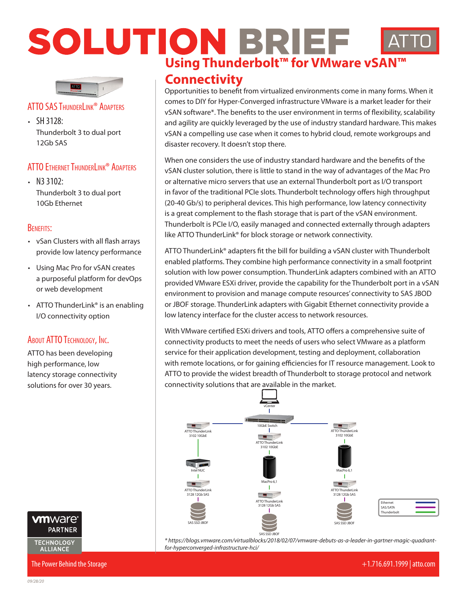# **SOLUTION BRIEF AT**<br>Using Thunderbolt™ for VMware vSAN™



## **ATTO SAS THUNDERLINK<sup>®</sup> ADAPTERS**

 $\cdot$  SH 3128: Thunderbolt 3 to dual port 12Gb SAS

## ATTO Ethernet ThunderLink® Adapters

•  $N3$  3102: Thunderbolt 3 to dual port 10Gb Ethernet

## Benefits:

- vSan Clusters with all flash arrays provide low latency performance
- Using Mac Pro for vSAN creates a purposeful platform for devOps or web development
- ATTO ThunderLink<sup>®</sup> is an enabling I/O connectivity option

## About ATTO Technology, Inc.

ATTO has been developing high performance, low latency storage connectivity solutions for over 30 years.



## **Connectivity**

Opportunities to benefit from virtualized environments come in many forms. When it comes to DIY for Hyper-Converged infrastructure VMware is a market leader for their vSAN software\*. The benefits to the user environment in terms of flexibility, scalability and agility are quickly leveraged by the use of industry standard hardware. This makes vSAN a compelling use case when it comes to hybrid cloud, remote workgroups and disaster recovery. It doesn't stop there.

When one considers the use of industry standard hardware and the benefits of the vSAN cluster solution, there is little to stand in the way of advantages of the Mac Pro or alternative micro servers that use an external Thunderbolt port as I/O transport in favor of the traditional PCIe slots. Thunderbolt technology offers high throughput (20-40 Gb/s) to peripheral devices. This high performance, low latency connectivity is a great complement to the flash storage that is part of the vSAN environment. Thunderbolt is PCIe I/O, easily managed and connected externally through adapters like ATTO ThunderLink® for block storage or network connectivity.

ATTO ThunderLink® adapters fit the bill for building a vSAN cluster with Thunderbolt enabled platforms. They combine high performance connectivity in a small footprint solution with low power consumption. ThunderLink adapters combined with an ATTO provided VMware ESXi driver, provide the capability for the Thunderbolt port in a vSAN environment to provision and manage compute resources' connectivity to SAS JBOD or JBOF storage. ThunderLink adapters with Gigabit Ethernet connectivity provide a low latency interface for the cluster access to network resources.

With VMware certified ESXi drivers and tools, ATTO offers a comprehensive suite of connectivity products to meet the needs of users who select VMware as a platform service for their application development, testing and deployment, collaboration with remote locations, or for gaining efficiencies for IT resource management. Look to ATTO to provide the widest breadth of Thunderbolt to storage protocol and network connectivity solutions that are available in the market.



SAS/SATA **Thunderbolt** 

**Etherne** 

*\* https://blogs.vmware.com/virtualblocks/2018/02/07/vmware-debuts-as-a-leader-in-gartner-magic-quadrantfor-hyperconverged-infrastructure-hci/*